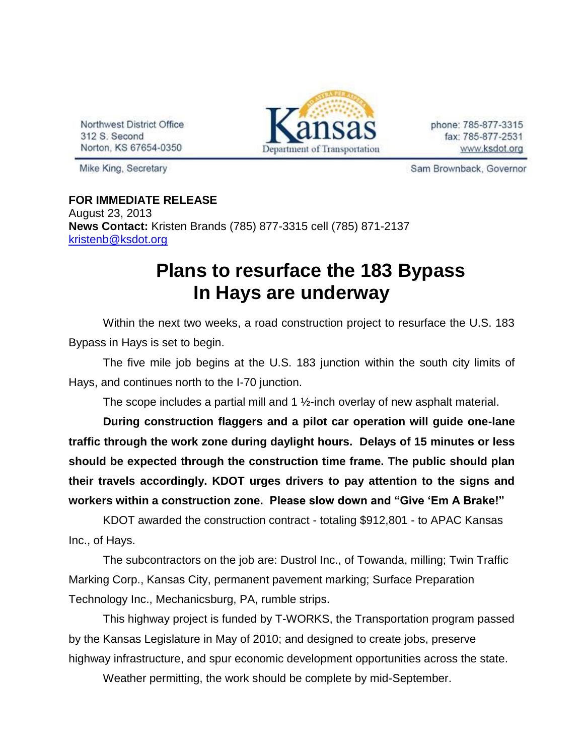Northwest District Office 312 S. Second Norton, KS 67654-0350



phone: 785-877-3315 fax: 785-877-2531 www.ksdot.org

Mike King, Secretary

Sam Brownback, Governor

**FOR IMMEDIATE RELEASE** August 23, 2013 **News Contact:** Kristen Brands (785) 877-3315 cell (785) 871-2137 [kristenb@ksdot.org](mailto:kristenb@ksdot.org)

## **Plans to resurface the 183 Bypass In Hays are underway**

Within the next two weeks, a road construction project to resurface the U.S. 183 Bypass in Hays is set to begin.

The five mile job begins at the U.S. 183 junction within the south city limits of Hays, and continues north to the I-70 junction.

The scope includes a partial mill and 1  $\frac{1}{2}$ -inch overlay of new asphalt material.

**During construction flaggers and a pilot car operation will guide one-lane traffic through the work zone during daylight hours. Delays of 15 minutes or less should be expected through the construction time frame. The public should plan their travels accordingly. KDOT urges drivers to pay attention to the signs and workers within a construction zone. Please slow down and "Give 'Em A Brake!"**

KDOT awarded the construction contract - totaling \$912,801 - to APAC Kansas Inc., of Hays.

The subcontractors on the job are: Dustrol Inc., of Towanda, milling; Twin Traffic Marking Corp., Kansas City, permanent pavement marking; Surface Preparation Technology Inc., Mechanicsburg, PA, rumble strips.

This highway project is funded by T-WORKS, the Transportation program passed by the Kansas Legislature in May of 2010; and designed to create jobs, preserve highway infrastructure, and spur economic development opportunities across the state.

Weather permitting, the work should be complete by mid-September.